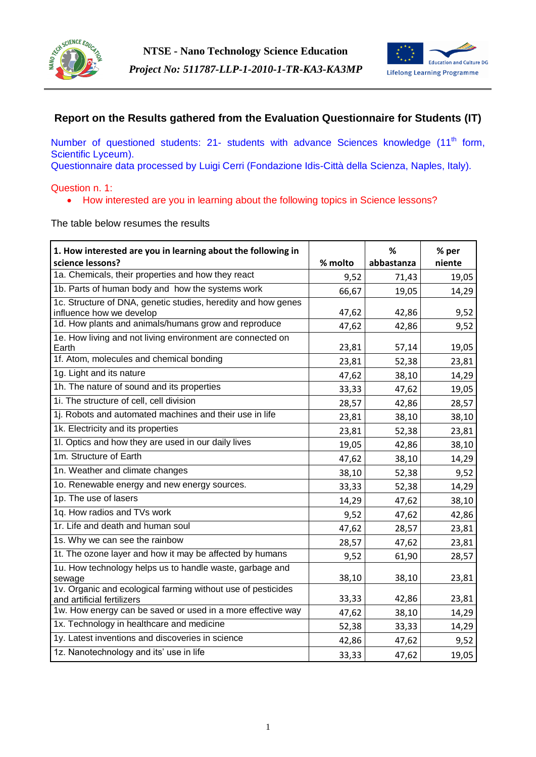



# **Report on the Results gathered from the Evaluation Questionnaire for Students (IT)**

Number of questioned students: 21- students with advance Sciences knowledge (11<sup>th</sup> form, Scientific Lyceum).

Questionnaire data processed by Luigi Cerri (Fondazione Idis-Città della Scienza, Naples, Italy).

## Question n. 1:

• How interested are you in learning about the following topics in Science lessons?

The table below resumes the results

| 1. How interested are you in learning about the following in                               |         | %          | % per  |
|--------------------------------------------------------------------------------------------|---------|------------|--------|
| science lessons?                                                                           | % molto | abbastanza | niente |
| 1a. Chemicals, their properties and how they react                                         | 9,52    | 71,43      | 19,05  |
| 1b. Parts of human body and how the systems work                                           | 66,67   | 19,05      | 14,29  |
| 1c. Structure of DNA, genetic studies, heredity and how genes<br>influence how we develop  | 47,62   | 42,86      | 9,52   |
| 1d. How plants and animals/humans grow and reproduce                                       | 47,62   | 42,86      | 9,52   |
| 1e. How living and not living environment are connected on                                 |         |            |        |
| Earth                                                                                      | 23,81   | 57,14      | 19,05  |
| 1f. Atom, molecules and chemical bonding                                                   | 23,81   | 52,38      | 23,81  |
| 1g. Light and its nature                                                                   | 47,62   | 38,10      | 14,29  |
| 1h. The nature of sound and its properties                                                 | 33,33   | 47,62      | 19,05  |
| 1i. The structure of cell, cell division                                                   | 28,57   | 42,86      | 28,57  |
| 1j. Robots and automated machines and their use in life                                    | 23,81   | 38,10      | 38,10  |
| 1k. Electricity and its properties                                                         | 23,81   | 52,38      | 23,81  |
| 1l. Optics and how they are used in our daily lives                                        | 19,05   | 42,86      | 38,10  |
| 1m. Structure of Earth                                                                     | 47,62   | 38,10      | 14,29  |
| 1n. Weather and climate changes                                                            | 38,10   | 52,38      | 9,52   |
| 1o. Renewable energy and new energy sources.                                               | 33,33   | 52,38      | 14,29  |
| 1p. The use of lasers                                                                      | 14,29   | 47,62      | 38,10  |
| 1q. How radios and TVs work                                                                | 9,52    | 47,62      | 42,86  |
| 1r. Life and death and human soul                                                          | 47,62   | 28,57      | 23,81  |
| 1s. Why we can see the rainbow                                                             | 28,57   | 47,62      | 23,81  |
| 1t. The ozone layer and how it may be affected by humans                                   | 9,52    | 61,90      | 28,57  |
| 1u. How technology helps us to handle waste, garbage and<br>sewage                         | 38,10   | 38,10      | 23,81  |
| 1v. Organic and ecological farming without use of pesticides<br>and artificial fertilizers | 33,33   | 42,86      | 23,81  |
| 1w. How energy can be saved or used in a more effective way                                | 47,62   | 38,10      | 14,29  |
| 1x. Technology in healthcare and medicine                                                  | 52,38   | 33,33      | 14,29  |
| 1y. Latest inventions and discoveries in science                                           | 42,86   | 47,62      | 9,52   |
| 1z. Nanotechnology and its' use in life                                                    | 33,33   | 47,62      | 19,05  |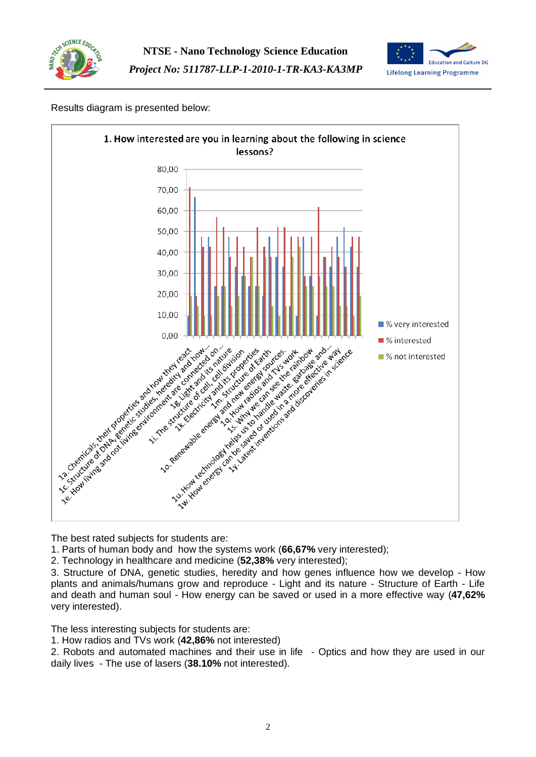



# Results diagram is presented below:



The best rated subjects for students are:

1. Parts of human body and how the systems work (**66,67%** very interested);

2. Technology in healthcare and medicine (**52,38%** very interested);

3. Structure of DNA, genetic studies, heredity and how genes influence how we develop - How plants and animals/humans grow and reproduce - Light and its nature - Structure of Earth - Life and death and human soul - How energy can be saved or used in a more effective way (**47,62%** very interested).

The less interesting subjects for students are:

1. How radios and TVs work (**42,86%** not interested)

2. Robots and automated machines and their use in life - Optics and how they are used in our daily lives - The use of lasers (**38.10%** not interested).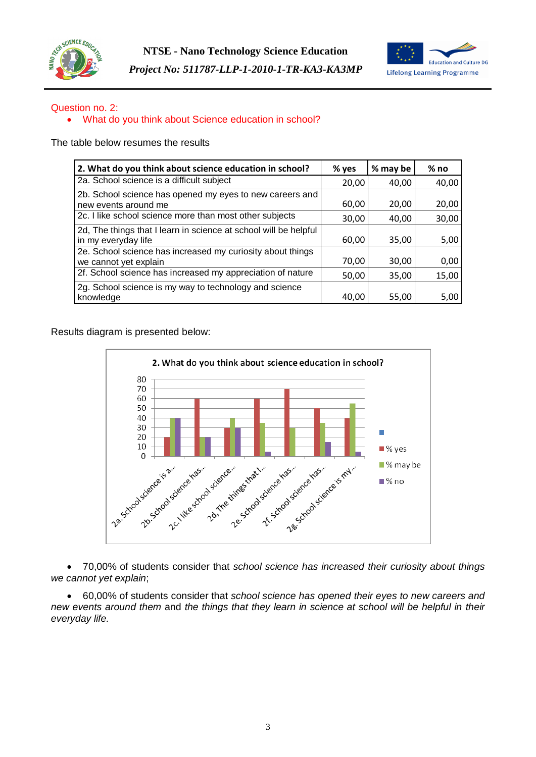



# Question no. 2:

## What do you think about Science education in school?

The table below resumes the results

| 2. What do you think about science education in school?                                 | % yes | % may be | $%$ no |
|-----------------------------------------------------------------------------------------|-------|----------|--------|
| 2a. School science is a difficult subject                                               | 20,00 | 40,00    | 40,00  |
| 2b. School science has opened my eyes to new careers and<br>new events around me        | 60,00 | 20,00    | 20,00  |
| 2c. I like school science more than most other subjects                                 | 30,00 | 40,00    | 30,00  |
| 2d, The things that I learn in science at school will be helpful<br>in my everyday life | 60,00 | 35,00    | 5,00   |
| 2e. School science has increased my curiosity about things<br>we cannot yet explain     | 70,00 | 30,00    | 0,00   |
| 2f. School science has increased my appreciation of nature                              | 50,00 | 35,00    | 15,00  |
| 2g. School science is my way to technology and science<br>knowledge                     | 40,00 | 55,00    | 5,00   |

Results diagram is presented below:



 70,00% of students consider that *school science has increased their curiosity about things we cannot yet explain*;

 60,00% of students consider that *school science has opened their eyes to new careers and new events around them* and *the things that they learn in science at school will be helpful in their everyday life.*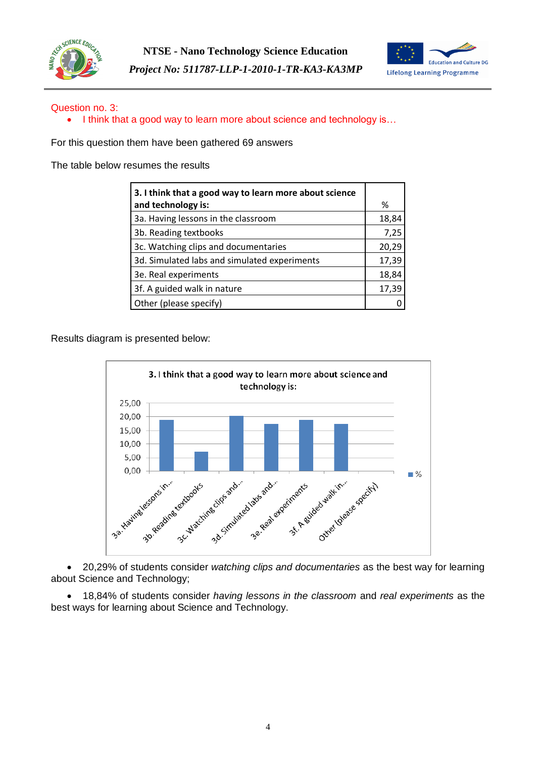



# Question no. 3:

• I think that a good way to learn more about science and technology is...

For this question them have been gathered 69 answers

The table below resumes the results

| 3. I think that a good way to learn more about science |       |
|--------------------------------------------------------|-------|
| and technology is:                                     | ℅     |
| 3a. Having lessons in the classroom                    | 18,84 |
| 3b. Reading textbooks                                  | 7,25  |
| 3c. Watching clips and documentaries                   | 20,29 |
| 3d. Simulated labs and simulated experiments           | 17,39 |
| 3e. Real experiments                                   | 18,84 |
| 3f. A guided walk in nature                            | 17,39 |
| Other (please specify)                                 |       |

Results diagram is presented below:



 20,29% of students consider *watching clips and documentaries* as the best way for learning about Science and Technology;

 18,84% of students consider *having lessons in the classroom* and *real experiments* as the best ways for learning about Science and Technology.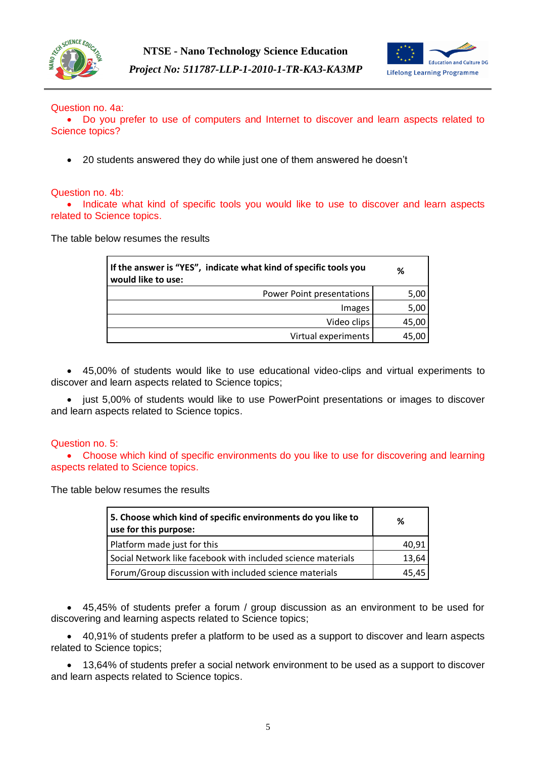



## Question no. 4a:

 Do you prefer to use of computers and Internet to discover and learn aspects related to Science topics?

20 students answered they do while just one of them answered he doesn't

## Question no. 4b:

• Indicate what kind of specific tools you would like to use to discover and learn aspects related to Science topics.

The table below resumes the results

| If the answer is "YES", indicate what kind of specific tools you<br>would like to use: | ℅     |
|----------------------------------------------------------------------------------------|-------|
| Power Point presentations                                                              | 5,00  |
| Images                                                                                 | 5,00  |
| Video clips                                                                            | 45,00 |
| Virtual experiments                                                                    | 45.00 |

 45,00% of students would like to use educational video-clips and virtual experiments to discover and learn aspects related to Science topics;

• just 5,00% of students would like to use PowerPoint presentations or images to discover and learn aspects related to Science topics.

#### Question no. 5:

 Choose which kind of specific environments do you like to use for discovering and learning aspects related to Science topics.

The table below resumes the results

| 5. Choose which kind of specific environments do you like to<br>use for this purpose: | ℅     |
|---------------------------------------------------------------------------------------|-------|
| Platform made just for this                                                           | 40,91 |
| Social Network like facebook with included science materials                          | 13,64 |
| Forum/Group discussion with included science materials                                | 45.45 |

 45,45% of students prefer a forum / group discussion as an environment to be used for discovering and learning aspects related to Science topics;

 40,91% of students prefer a platform to be used as a support to discover and learn aspects related to Science topics;

 13,64% of students prefer a social network environment to be used as a support to discover and learn aspects related to Science topics.